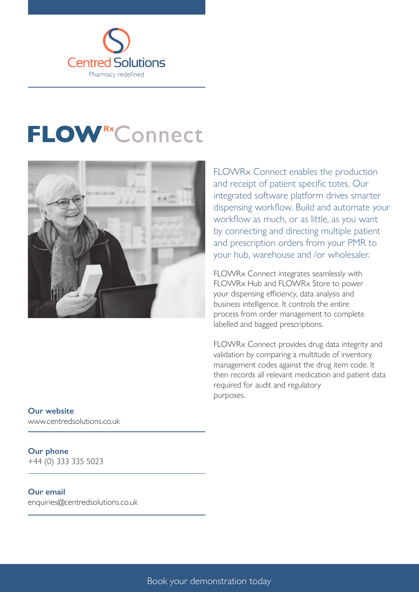

# **FLOWRXConnect**



FLOWRx Connect enables the production and receipt of patient specific totes. Our integrated software platform drives smarter dispensing workflow. Build and automate your workflow as much, or as little, as you want by connecting and directing multiple patient and prescription orders from your PMR to your hub, warehouse and /or wholesaler.

FLOWRx Connect integrates seamlessly with FLOWRx Hub and FLOWRx Store to power your dispensing efficiency, data analysis and business intelligence. It controls the entire process from order management to complete labelled and bagged prescriptions.

FLOWRx Connect provides drug data integrity and validation by comparing a multitude of inventory management codes against the drug item code. It then records all relevant medication and patient data required for audit and regulatory purposes.

#### **Our website**

www.centredsolutions.co.uk

### **Our phone**

+44 (0) 333 335 5023

#### **Our email**

enquiries@centredsolutions.co.uk